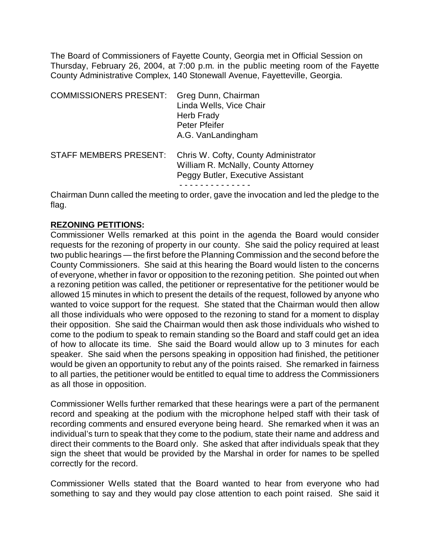The Board of Commissioners of Fayette County, Georgia met in Official Session on Thursday, February 26, 2004, at 7:00 p.m. in the public meeting room of the Fayette County Administrative Complex, 140 Stonewall Avenue, Fayetteville, Georgia.

| <b>COMMISSIONERS PRESENT:</b> | Greg Dunn, Chairman<br>Linda Wells, Vice Chair<br><b>Herb Frady</b><br>Peter Pfeifer<br>A.G. VanLandingham       |
|-------------------------------|------------------------------------------------------------------------------------------------------------------|
| <b>STAFF MEMBERS PRESENT:</b> | Chris W. Cofty, County Administrator<br>William R. McNally, County Attorney<br>Peggy Butler, Executive Assistant |

Chairman Dunn called the meeting to order, gave the invocation and led the pledge to the flag.

## **REZONING PETITIONS:**

Commissioner Wells remarked at this point in the agenda the Board would consider requests for the rezoning of property in our county. She said the policy required at least two public hearings — the first before the Planning Commission and the second before the County Commissioners. She said at this hearing the Board would listen to the concerns of everyone, whether in favor or opposition to the rezoning petition. She pointed out when a rezoning petition was called, the petitioner or representative for the petitioner would be allowed 15 minutes in which to present the details of the request, followed by anyone who wanted to voice support for the request. She stated that the Chairman would then allow all those individuals who were opposed to the rezoning to stand for a moment to display their opposition. She said the Chairman would then ask those individuals who wished to come to the podium to speak to remain standing so the Board and staff could get an idea of how to allocate its time. She said the Board would allow up to 3 minutes for each speaker. She said when the persons speaking in opposition had finished, the petitioner would be given an opportunity to rebut any of the points raised. She remarked in fairness to all parties, the petitioner would be entitled to equal time to address the Commissioners as all those in opposition.

Commissioner Wells further remarked that these hearings were a part of the permanent record and speaking at the podium with the microphone helped staff with their task of recording comments and ensured everyone being heard. She remarked when it was an individual's turn to speak that they come to the podium, state their name and address and direct their comments to the Board only. She asked that after individuals speak that they sign the sheet that would be provided by the Marshal in order for names to be spelled correctly for the record.

Commissioner Wells stated that the Board wanted to hear from everyone who had something to say and they would pay close attention to each point raised. She said it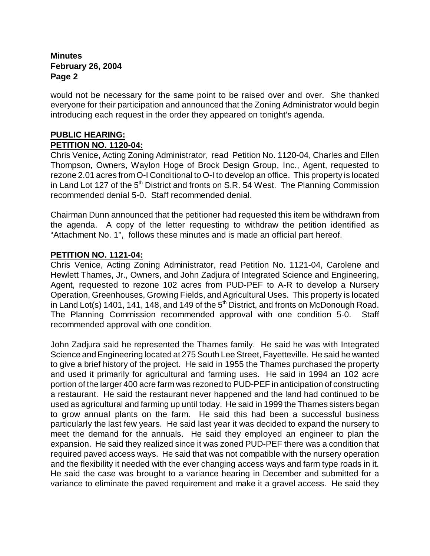would not be necessary for the same point to be raised over and over. She thanked everyone for their participation and announced that the Zoning Administrator would begin introducing each request in the order they appeared on tonight's agenda.

#### **PUBLIC HEARING: PETITION NO. 1120-04:**

Chris Venice, Acting Zoning Administrator, read Petition No. 1120-04, Charles and Ellen Thompson, Owners, Waylon Hoge of Brock Design Group, Inc., Agent, requested to rezone 2.01 acres from O-I Conditional to O-I to develop an office. This property is located in Land Lot 127 of the  $5<sup>th</sup>$  District and fronts on S.R. 54 West. The Planning Commission recommended denial 5-0. Staff recommended denial.

Chairman Dunn announced that the petitioner had requested this item be withdrawn from the agenda. A copy of the letter requesting to withdraw the petition identified as "Attachment No. 1", follows these minutes and is made an official part hereof.

### **PETITION NO. 1121-04:**

Chris Venice, Acting Zoning Administrator, read Petition No. 1121-04, Carolene and Hewlett Thames, Jr., Owners, and John Zadjura of Integrated Science and Engineering, Agent, requested to rezone 102 acres from PUD-PEF to A-R to develop a Nursery Operation, Greenhouses, Growing Fields, and Agricultural Uses. This property is located in Land Lot(s) 1401, 141, 148, and 149 of the  $5<sup>th</sup>$  District, and fronts on McDonough Road. The Planning Commission recommended approval with one condition 5-0. Staff recommended approval with one condition.

John Zadjura said he represented the Thames family. He said he was with Integrated Science and Engineering located at 275 South Lee Street, Fayetteville. He said he wanted to give a brief history of the project. He said in 1955 the Thames purchased the property and used it primarily for agricultural and farming uses. He said in 1994 an 102 acre portion of the larger 400 acre farm was rezoned to PUD-PEF in anticipation of constructing a restaurant. He said the restaurant never happened and the land had continued to be used as agricultural and farming up until today. He said in 1999 the Thames sisters began to grow annual plants on the farm. He said this had been a successful business particularly the last few years. He said last year it was decided to expand the nursery to meet the demand for the annuals. He said they employed an engineer to plan the expansion. He said they realized since it was zoned PUD-PEF there was a condition that required paved access ways. He said that was not compatible with the nursery operation and the flexibility it needed with the ever changing access ways and farm type roads in it. He said the case was brought to a variance hearing in December and submitted for a variance to eliminate the paved requirement and make it a gravel access. He said they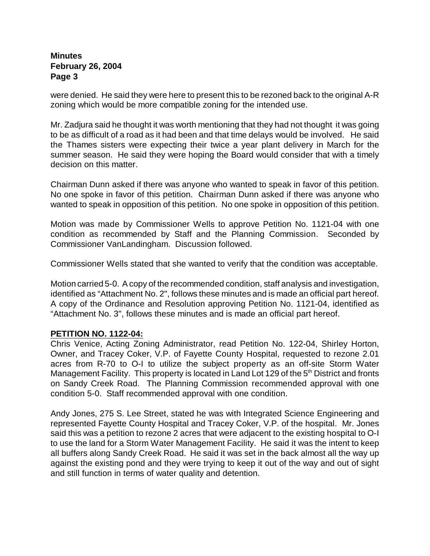were denied. He said they were here to present this to be rezoned back to the original A-R zoning which would be more compatible zoning for the intended use.

Mr. Zadjura said he thought it was worth mentioning that they had not thought it was going to be as difficult of a road as it had been and that time delays would be involved. He said the Thames sisters were expecting their twice a year plant delivery in March for the summer season. He said they were hoping the Board would consider that with a timely decision on this matter.

Chairman Dunn asked if there was anyone who wanted to speak in favor of this petition. No one spoke in favor of this petition. Chairman Dunn asked if there was anyone who wanted to speak in opposition of this petition. No one spoke in opposition of this petition.

Motion was made by Commissioner Wells to approve Petition No. 1121-04 with one condition as recommended by Staff and the Planning Commission. Seconded by Commissioner VanLandingham. Discussion followed.

Commissioner Wells stated that she wanted to verify that the condition was acceptable.

Motion carried 5-0. A copy of the recommended condition, staff analysis and investigation, identified as "Attachment No. 2", follows these minutes and is made an official part hereof. A copy of the Ordinance and Resolution approving Petition No. 1121-04, identified as "Attachment No. 3", follows these minutes and is made an official part hereof.

#### **PETITION NO. 1122-04:**

Chris Venice, Acting Zoning Administrator, read Petition No. 122-04, Shirley Horton, Owner, and Tracey Coker, V.P. of Fayette County Hospital, requested to rezone 2.01 acres from R-70 to O-I to utilize the subject property as an off-site Storm Water Management Facility. This property is located in Land Lot 129 of the 5<sup>th</sup> District and fronts on Sandy Creek Road. The Planning Commission recommended approval with one condition 5-0. Staff recommended approval with one condition.

Andy Jones, 275 S. Lee Street, stated he was with Integrated Science Engineering and represented Fayette County Hospital and Tracey Coker, V.P. of the hospital. Mr. Jones said this was a petition to rezone 2 acres that were adjacent to the existing hospital to O-I to use the land for a Storm Water Management Facility. He said it was the intent to keep all buffers along Sandy Creek Road. He said it was set in the back almost all the way up against the existing pond and they were trying to keep it out of the way and out of sight and still function in terms of water quality and detention.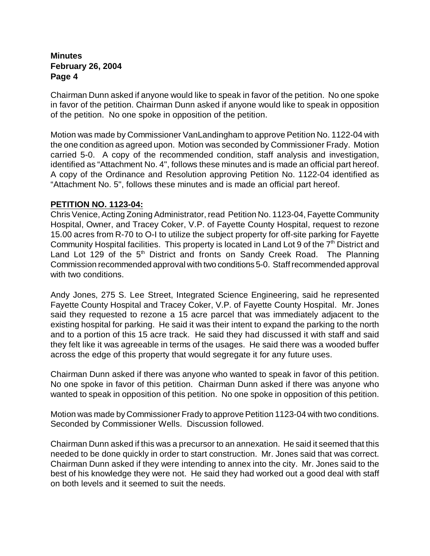Chairman Dunn asked if anyone would like to speak in favor of the petition. No one spoke in favor of the petition. Chairman Dunn asked if anyone would like to speak in opposition of the petition. No one spoke in opposition of the petition.

Motion was made by Commissioner VanLandingham to approve Petition No. 1122-04 with the one condition as agreed upon. Motion was seconded by Commissioner Frady. Motion carried 5-0. A copy of the recommended condition, staff analysis and investigation, identified as "Attachment No. 4", follows these minutes and is made an official part hereof. A copy of the Ordinance and Resolution approving Petition No. 1122-04 identified as "Attachment No. 5", follows these minutes and is made an official part hereof.

### **PETITION NO. 1123-04:**

Chris Venice, Acting Zoning Administrator, read Petition No. 1123-04, Fayette Community Hospital, Owner, and Tracey Coker, V.P. of Fayette County Hospital, request to rezone 15.00 acres from R-70 to O-I to utilize the subject property for off-site parking for Fayette Community Hospital facilities. This property is located in Land Lot 9 of the  $7<sup>th</sup>$  District and Land Lot 129 of the  $5<sup>th</sup>$  District and fronts on Sandy Creek Road. The Planning Commission recommended approval with two conditions 5-0. Staff recommended approval with two conditions.

Andy Jones, 275 S. Lee Street, Integrated Science Engineering, said he represented Fayette County Hospital and Tracey Coker, V.P. of Fayette County Hospital. Mr. Jones said they requested to rezone a 15 acre parcel that was immediately adjacent to the existing hospital for parking. He said it was their intent to expand the parking to the north and to a portion of this 15 acre track. He said they had discussed it with staff and said they felt like it was agreeable in terms of the usages. He said there was a wooded buffer across the edge of this property that would segregate it for any future uses.

Chairman Dunn asked if there was anyone who wanted to speak in favor of this petition. No one spoke in favor of this petition. Chairman Dunn asked if there was anyone who wanted to speak in opposition of this petition. No one spoke in opposition of this petition.

Motion was made by Commissioner Frady to approve Petition 1123-04 with two conditions. Seconded by Commissioner Wells. Discussion followed.

Chairman Dunn asked if this was a precursor to an annexation. He said it seemed that this needed to be done quickly in order to start construction. Mr. Jones said that was correct. Chairman Dunn asked if they were intending to annex into the city. Mr. Jones said to the best of his knowledge they were not. He said they had worked out a good deal with staff on both levels and it seemed to suit the needs.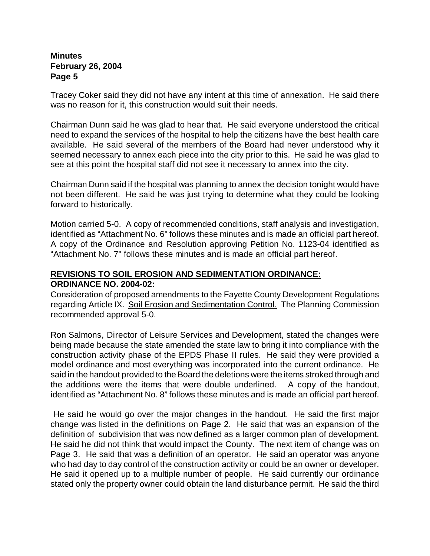Tracey Coker said they did not have any intent at this time of annexation. He said there was no reason for it, this construction would suit their needs.

Chairman Dunn said he was glad to hear that. He said everyone understood the critical need to expand the services of the hospital to help the citizens have the best health care available. He said several of the members of the Board had never understood why it seemed necessary to annex each piece into the city prior to this. He said he was glad to see at this point the hospital staff did not see it necessary to annex into the city.

Chairman Dunn said if the hospital was planning to annex the decision tonight would have not been different. He said he was just trying to determine what they could be looking forward to historically.

Motion carried 5-0. A copy of recommended conditions, staff analysis and investigation, identified as "Attachment No. 6" follows these minutes and is made an official part hereof. A copy of the Ordinance and Resolution approving Petition No. 1123-04 identified as "Attachment No. 7" follows these minutes and is made an official part hereof.

# **REVISIONS TO SOIL EROSION AND SEDIMENTATION ORDINANCE: ORDINANCE NO. 2004-02:**

Consideration of proposed amendments to the Fayette County Development Regulations regarding Article IX. Soil Erosion and Sedimentation Control.The Planning Commission recommended approval 5-0.

Ron Salmons, Director of Leisure Services and Development, stated the changes were being made because the state amended the state law to bring it into compliance with the construction activity phase of the EPDS Phase II rules. He said they were provided a model ordinance and most everything was incorporated into the current ordinance. He said in the handout provided to the Board the deletions were the items stroked through and the additions were the items that were double underlined. A copy of the handout, identified as "Attachment No. 8" follows these minutes and is made an official part hereof.

 He said he would go over the major changes in the handout. He said the first major change was listed in the definitions on Page 2. He said that was an expansion of the definition of subdivision that was now defined as a larger common plan of development. He said he did not think that would impact the County. The next item of change was on Page 3. He said that was a definition of an operator. He said an operator was anyone who had day to day control of the construction activity or could be an owner or developer. He said it opened up to a multiple number of people. He said currently our ordinance stated only the property owner could obtain the land disturbance permit. He said the third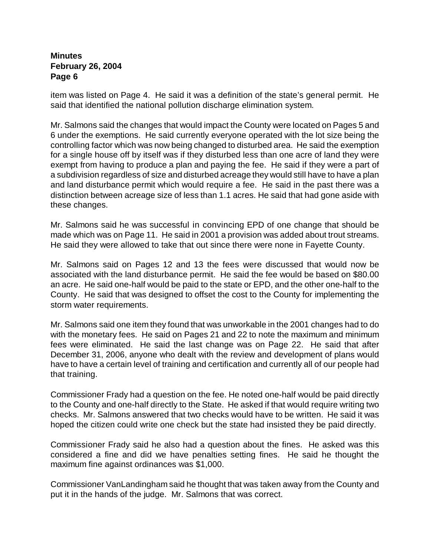item was listed on Page 4.He said it was a definition of the state's general permit. He said that identified the national pollution discharge elimination system.

Mr. Salmons said the changes that would impact the County were located on Pages 5 and 6 under the exemptions. He said currently everyone operated with the lot size being the controlling factor which was now being changed to disturbed area. He said the exemption for a single house off by itself was if they disturbed less than one acre of land they were exempt from having to produce a plan and paying the fee. He said if they were a part of a subdivision regardless of size and disturbed acreage they would still have to have a plan and land disturbance permit which would require a fee.He said in the past there was a distinction between acreage size of less than 1.1 acres. He said that had gone aside with these changes.

Mr. Salmons said he was successful in convincing EPD of one change that should be made which was on Page 11. He said in 2001 a provision was added about trout streams. He said they were allowed to take that out since there were none in Fayette County.

Mr. Salmons said on Pages 12 and 13 the fees were discussed that would now be associated with the land disturbance permit. He said the fee would be based on \$80.00 an acre. He said one-half would be paid to the state or EPD, and the other one-half to the County.He said that was designed to offset the cost to the County for implementing the storm water requirements.

Mr. Salmons said one item they found that was unworkable in the 2001 changes had to do with the monetary fees. He said on Pages 21 and 22 to note the maximum and minimum fees were eliminated. He said the last change was on Page 22. He said that after December 31, 2006, anyone who dealt with the review and development of plans would have to have a certain level of training and certification and currently all of our people had that training.

Commissioner Frady had a question on the fee. He noted one-half would be paid directly to the County and one-half directly to the State. He asked if that would require writing two checks. Mr. Salmons answered that two checks would have to be written.He said it was hoped the citizen could write one check but the state had insisted they be paid directly.

Commissioner Frady said he also had a question about the fines. He asked was this considered a fine and did we have penalties setting fines. He said he thought the maximum fine against ordinances was \$1,000.

Commissioner VanLandingham said he thought that was taken away from the County and put it in the hands of the judge. Mr. Salmons that was correct.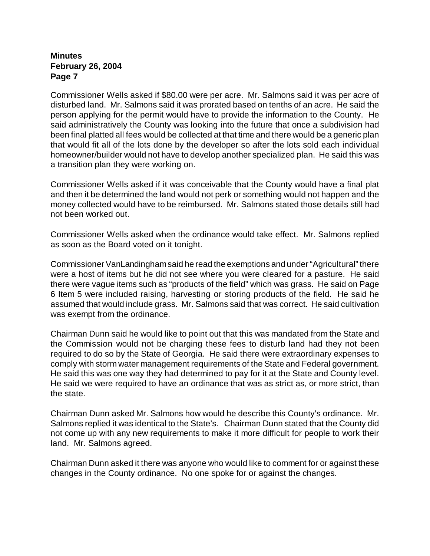Commissioner Wells asked if \$80.00 were per acre. Mr. Salmons said it was per acre of disturbed land. Mr. Salmons said it was prorated based on tenths of an acre. He said the person applying for the permit would have to provide the information to the County. He said administratively the County was looking into the future that once a subdivision had been final platted all fees would be collected at that time and there would be a generic plan that would fit all of the lots done by the developer so after the lots sold each individual homeowner/builder would not have to develop another specialized plan. He said this was a transition plan they were working on.

Commissioner Wells asked if it was conceivable that the County would have a final plat and then it be determined the land would not perk or something would not happen and the money collected would have to be reimbursed. Mr. Salmons stated those details still had not been worked out.

Commissioner Wells asked when the ordinance would take effect. Mr. Salmons replied as soon as the Board voted on it tonight.

Commissioner VanLandingham said he read the exemptions and under "Agricultural" there were a host of items but he did not see where you were cleared for a pasture. He said there were vague items such as "products of the field" which was grass. He said on Page 6 Item 5 were included raising, harvesting or storing products of the field. He said he assumed that would include grass. Mr. Salmons said that was correct. He said cultivation was exempt from the ordinance.

Chairman Dunn said he would like to point out that this was mandated from the State and the Commission would not be charging these fees to disturb land had they not been required to do so by the State of Georgia. He said there were extraordinary expenses to comply with storm water management requirements of the State and Federal government. He said this was one way they had determined to pay for it at the State and County level. He said we were required to have an ordinance that was as strict as, or more strict, than the state.

Chairman Dunn asked Mr. Salmons how would he describe this County's ordinance. Mr. Salmons replied it was identical to the State's. Chairman Dunn stated that the County did not come up with any new requirements to make it more difficult for people to work their land. Mr. Salmons agreed.

Chairman Dunn asked it there was anyone who would like to comment for or against these changes in the County ordinance. No one spoke for or against the changes.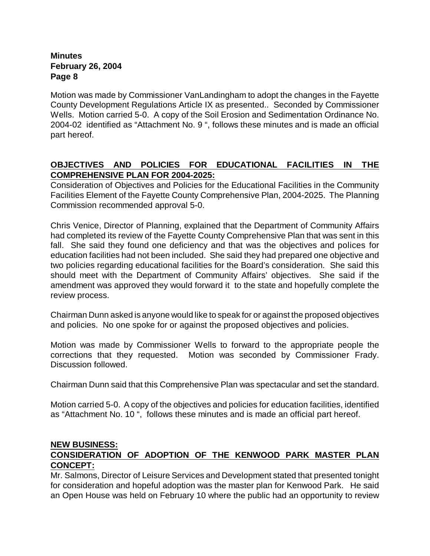Motion was made by Commissioner VanLandingham to adopt the changes in the Fayette County Development Regulations Article IX as presented.. Seconded by Commissioner Wells. Motion carried 5-0. A copy of the Soil Erosion and Sedimentation Ordinance No. 2004-02 identified as "Attachment No. 9 ", follows these minutes and is made an official part hereof.

# **OBJECTIVES AND POLICIES FOR EDUCATIONAL FACILITIES IN THE COMPREHENSIVE PLAN FOR 2004-2025:**

Consideration of Objectives and Policies for the Educational Facilities in the Community Facilities Element of the Fayette County Comprehensive Plan, 2004-2025.The Planning Commission recommended approval 5-0.

Chris Venice, Director of Planning, explained that the Department of Community Affairs had completed its review of the Fayette County Comprehensive Plan that was sent in this fall. She said they found one deficiency and that was the objectives and polices for education facilities had not been included. She said they had prepared one objective and two policies regarding educational facilities for the Board's consideration. She said this should meet with the Department of Community Affairs' objectives. She said if the amendment was approved they would forward it to the state and hopefully complete the review process.

Chairman Dunn asked is anyone would like to speak for or against the proposed objectives and policies. No one spoke for or against the proposed objectives and policies.

Motion was made by Commissioner Wells to forward to the appropriate people the corrections that they requested. Motion was seconded by Commissioner Frady. Discussion followed.

Chairman Dunn said that this Comprehensive Plan was spectacular and set the standard.

Motion carried 5-0. A copy of the objectives and policies for education facilities, identified as "Attachment No. 10 ", follows these minutes and is made an official part hereof.

## **NEW BUSINESS:**

# **CONSIDERATION OF ADOPTION OF THE KENWOOD PARK MASTER PLAN CONCEPT:**

Mr. Salmons, Director of Leisure Services and Development stated that presented tonight for consideration and hopeful adoption was the master plan for Kenwood Park. He said an Open House was held on February 10 where the public had an opportunity to review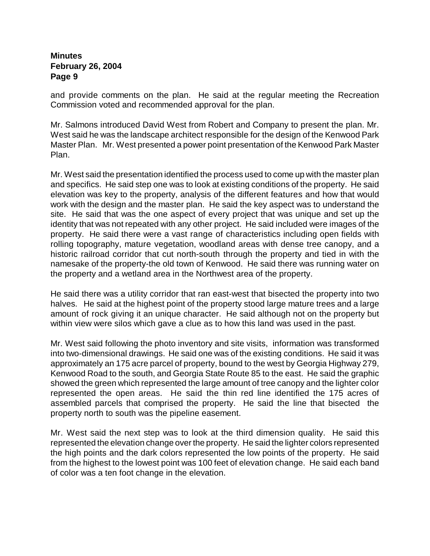and provide comments on the plan. He said at the regular meeting the Recreation Commission voted and recommended approval for the plan.

Mr. Salmons introduced David West from Robert and Company to present the plan. Mr. West said he was the landscape architect responsible for the design of the Kenwood Park Master Plan. Mr. West presented a power point presentation of the Kenwood Park Master Plan.

Mr. West said the presentation identified the process used to come up with the master plan and specifics. He said step one was to look at existing conditions of the property. He said elevation was key to the property, analysis of the different features and how that would work with the design and the master plan. He said the key aspect was to understand the site. He said that was the one aspect of every project that was unique and set up the identity that was not repeated with any other project. He said included were images of the property. He said there were a vast range of characteristics including open fields with rolling topography, mature vegetation, woodland areas with dense tree canopy, and a historic railroad corridor that cut north-south through the property and tied in with the namesake of the property-the old town of Kenwood. He said there was running water on the property and a wetland area in the Northwest area of the property.

He said there was a utility corridor that ran east-west that bisected the property into two halves. He said at the highest point of the property stood large mature trees and a large amount of rock giving it an unique character. He said although not on the property but within view were silos which gave a clue as to how this land was used in the past.

Mr. West said following the photo inventory and site visits, information was transformed into two-dimensional drawings. He said one was of the existing conditions. He said it was approximately an 175 acre parcel of property, bound to the west by Georgia Highway 279, Kenwood Road to the south, and Georgia State Route 85 to the east. He said the graphic showed the green which represented the large amount of tree canopy and the lighter color represented the open areas. He said the thin red line identified the 175 acres of assembled parcels that comprised the property. He said the line that bisected the property north to south was the pipeline easement.

Mr. West said the next step was to look at the third dimension quality. He said this represented the elevation change over the property. He said the lighter colors represented the high points and the dark colors represented the low points of the property. He said from the highest to the lowest point was 100 feet of elevation change. He said each band of color was a ten foot change in the elevation.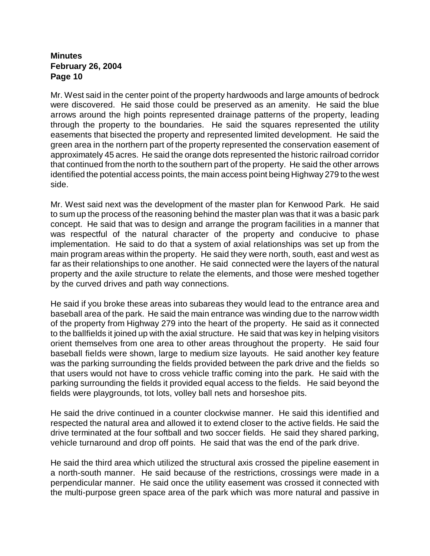Mr. West said in the center point of the property hardwoods and large amounts of bedrock were discovered. He said those could be preserved as an amenity. He said the blue arrows around the high points represented drainage patterns of the property, leading through the property to the boundaries. He said the squares represented the utility easements that bisected the property and represented limited development. He said the green area in the northern part of the property represented the conservation easement of approximately 45 acres. He said the orange dots represented the historic railroad corridor that continued from the north to the southern part of the property. He said the other arrows identified the potential access points, the main access point being Highway 279 to the west side.

Mr. West said next was the development of the master plan for Kenwood Park. He said to sum up the process of the reasoning behind the master plan was that it was a basic park concept. He said that was to design and arrange the program facilities in a manner that was respectful of the natural character of the property and conducive to phase implementation. He said to do that a system of axial relationships was set up from the main program areas within the property. He said they were north, south, east and west as far as their relationships to one another. He said connected were the layers of the natural property and the axile structure to relate the elements, and those were meshed together by the curved drives and path way connections.

He said if you broke these areas into subareas they would lead to the entrance area and baseball area of the park. He said the main entrance was winding due to the narrow width of the property from Highway 279 into the heart of the property. He said as it connected to the ballfields it joined up with the axial structure. He said that was key in helping visitors orient themselves from one area to other areas throughout the property. He said four baseball fields were shown, large to medium size layouts. He said another key feature was the parking surrounding the fields provided between the park drive and the fields so that users would not have to cross vehicle traffic coming into the park. He said with the parking surrounding the fields it provided equal access to the fields. He said beyond the fields were playgrounds, tot lots, volley ball nets and horseshoe pits.

He said the drive continued in a counter clockwise manner. He said this identified and respected the natural area and allowed it to extend closer to the active fields. He said the drive terminated at the four softball and two soccer fields. He said they shared parking, vehicle turnaround and drop off points. He said that was the end of the park drive.

He said the third area which utilized the structural axis crossed the pipeline easement in a north-south manner. He said because of the restrictions, crossings were made in a perpendicular manner. He said once the utility easement was crossed it connected with the multi-purpose green space area of the park which was more natural and passive in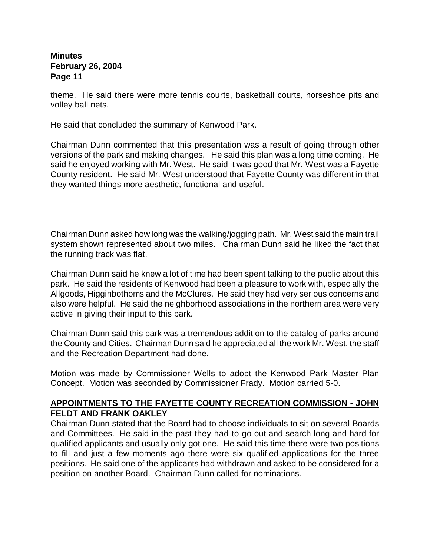theme. He said there were more tennis courts, basketball courts, horseshoe pits and volley ball nets.

He said that concluded the summary of Kenwood Park.

Chairman Dunn commented that this presentation was a result of going through other versions of the park and making changes. He said this plan was a long time coming. He said he enjoyed working with Mr. West. He said it was good that Mr. West was a Fayette County resident. He said Mr. West understood that Fayette County was different in that they wanted things more aesthetic, functional and useful.

Chairman Dunn asked how long was the walking/jogging path. Mr. West said the main trail system shown represented about two miles. Chairman Dunn said he liked the fact that the running track was flat.

Chairman Dunn said he knew a lot of time had been spent talking to the public about this park. He said the residents of Kenwood had been a pleasure to work with, especially the Allgoods, Higginbothoms and the McClures. He said they had very serious concerns and also were helpful. He said the neighborhood associations in the northern area were very active in giving their input to this park.

Chairman Dunn said this park was a tremendous addition to the catalog of parks around the County and Cities. Chairman Dunn said he appreciated all the work Mr. West, the staff and the Recreation Department had done.

Motion was made by Commissioner Wells to adopt the Kenwood Park Master Plan Concept. Motion was seconded by Commissioner Frady. Motion carried 5-0.

#### **APPOINTMENTS TO THE FAYETTE COUNTY RECREATION COMMISSION - JOHN FELDT AND FRANK OAKLEY**

Chairman Dunn stated that the Board had to choose individuals to sit on several Boards and Committees. He said in the past they had to go out and search long and hard for qualified applicants and usually only got one. He said this time there were two positions to fill and just a few moments ago there were six qualified applications for the three positions. He said one of the applicants had withdrawn and asked to be considered for a position on another Board. Chairman Dunn called for nominations.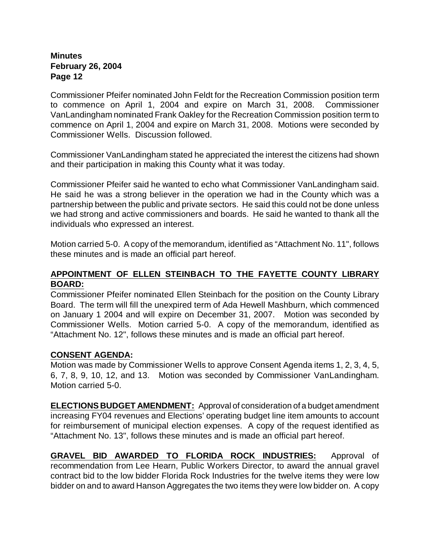Commissioner Pfeifer nominated John Feldt for the Recreation Commission position term to commence on April 1, 2004 and expire on March 31, 2008. Commissioner VanLandingham nominated Frank Oakley for the Recreation Commission position term to commence on April 1, 2004 and expire on March 31, 2008. Motions were seconded by Commissioner Wells. Discussion followed.

Commissioner VanLandingham stated he appreciated the interest the citizens had shown and their participation in making this County what it was today.

Commissioner Pfeifer said he wanted to echo what Commissioner VanLandingham said. He said he was a strong believer in the operation we had in the County which was a partnership between the public and private sectors. He said this could not be done unless we had strong and active commissioners and boards. He said he wanted to thank all the individuals who expressed an interest.

Motion carried 5-0. A copy of the memorandum, identified as "Attachment No. 11", follows these minutes and is made an official part hereof.

## **APPOINTMENT OF ELLEN STEINBACH TO THE FAYETTE COUNTY LIBRARY BOARD:**

Commissioner Pfeifer nominated Ellen Steinbach for the position on the County Library Board. The term will fill the unexpired term of Ada Hewell Mashburn, which commenced on January 1 2004 and will expire on December 31, 2007. Motion was seconded by Commissioner Wells. Motion carried 5-0. A copy of the memorandum, identified as "Attachment No. 12", follows these minutes and is made an official part hereof.

## **CONSENT AGENDA:**

Motion was made by Commissioner Wells to approve Consent Agenda items 1, 2, 3, 4, 5, 6, 7, 8, 9, 10, 12, and 13. Motion was seconded by Commissioner VanLandingham. Motion carried 5-0.

**ELECTIONS BUDGET AMENDMENT:** Approval of consideration of a budget amendment increasing FY04 revenues and Elections' operating budget line item amounts to account for reimbursement of municipal election expenses. A copy of the request identified as "Attachment No. 13", follows these minutes and is made an official part hereof.

**GRAVEL BID AWARDED TO FLORIDA ROCK INDUSTRIES:** Approval of recommendation from Lee Hearn, Public Workers Director, to award the annual gravel contract bid to the low bidder Florida Rock Industries for the twelve items they were low bidder on and to award Hanson Aggregates the two items they were low bidder on. A copy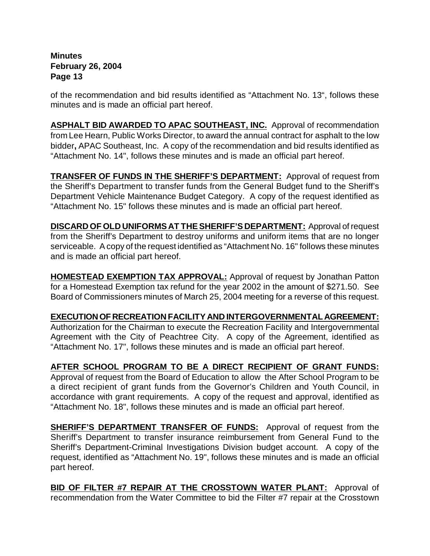of the recommendation and bid results identified as "Attachment No. 13", follows these minutes and is made an official part hereof.

**ASPHALT BID AWARDED TO APAC SOUTHEAST, INC.** Approval of recommendation from Lee Hearn, Public Works Director, to award the annual contract for asphalt to the low bidder**,** APAC Southeast, Inc. A copy of the recommendation and bid results identified as "Attachment No. 14", follows these minutes and is made an official part hereof.

**TRANSFER OF FUNDS IN THE SHERIFF'S DEPARTMENT:** Approval of request from the Sheriff's Department to transfer funds from the General Budget fund to the Sheriff's Department Vehicle Maintenance Budget Category. A copy of the request identified as "Attachment No. 15" follows these minutes and is made an official part hereof.

**DISCARD OF OLD UNIFORMS AT THE SHERIFF'S DEPARTMENT:** Approval of request from the Sheriff's Department to destroy uniforms and uniform items that are no longer serviceable. A copy of the request identified as "Attachment No. 16" follows these minutes and is made an official part hereof.

**HOMESTEAD EXEMPTION TAX APPROVAL:** Approval of request by Jonathan Patton for a Homestead Exemption tax refund for the year 2002 in the amount of \$271.50.See Board of Commissioners minutes of March 25, 2004 meeting for a reverse of this request.

**EXECUTION OF RECREATION FACILITY AND INTERGOVERNMENTAL AGREEMENT:** Authorization for the Chairman to execute the Recreation Facility and Intergovernmental Agreement with the City of Peachtree City. A copy of the Agreement, identified as "Attachment No. 17", follows these minutes and is made an official part hereof.

**AFTER SCHOOL PROGRAM TO BE A DIRECT RECIPIENT OF GRANT FUNDS:** Approval of request from the Board of Education to allow the After School Program to be a direct recipient of grant funds from the Governor's Children and Youth Council, in accordance with grant requirements. A copy of the request and approval, identified as "Attachment No. 18", follows these minutes and is made an official part hereof.

**SHERIFF'S DEPARTMENT TRANSFER OF FUNDS:** Approval of request from the Sheriff's Department to transfer insurance reimbursement from General Fund to the Sheriff's Department-Criminal Investigations Division budget account. A copy of the request, identified as "Attachment No. 19", follows these minutes and is made an official part hereof.

**BID OF FILTER #7 REPAIR AT THE CROSSTOWN WATER PLANT:** Approval of recommendation from the Water Committee to bid the Filter #7 repair at the Crosstown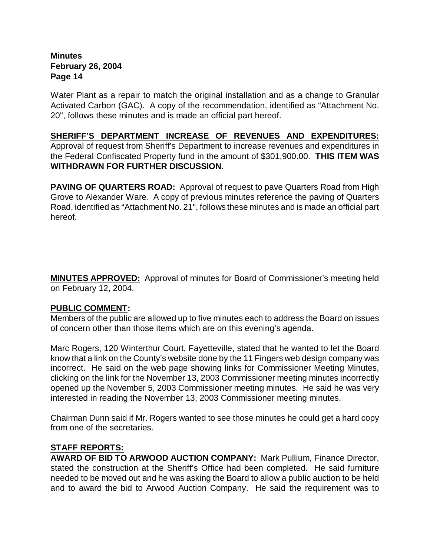Water Plant as a repair to match the original installation and as a change to Granular Activated Carbon (GAC).A copy of the recommendation, identified as "Attachment No. 20", follows these minutes and is made an official part hereof.

**SHERIFF'S DEPARTMENT INCREASE OF REVENUES AND EXPENDITURES:** Approval of request from Sheriff's Department to increase revenues and expenditures in the Federal Confiscated Property fund in the amount of \$301,900.00. **THIS ITEM WAS WITHDRAWN FOR FURTHER DISCUSSION.**

**PAVING OF QUARTERS ROAD:** Approval of request to pave Quarters Road from High Grove to Alexander Ware. A copy of previous minutes reference the paving of Quarters Road, identified as "Attachment No. 21", follows these minutes and is made an official part hereof.

**MINUTES APPROVED:** Approval of minutes for Board of Commissioner's meeting held on February 12, 2004.

## **PUBLIC COMMENT:**

Members of the public are allowed up to five minutes each to address the Board on issues of concern other than those items which are on this evening's agenda.

Marc Rogers, 120 Winterthur Court, Fayetteville, stated that he wanted to let the Board know that a link on the County's website done by the 11 Fingers web design company was incorrect. He said on the web page showing links for Commissioner Meeting Minutes, clicking on the link for the November 13, 2003 Commissioner meeting minutes incorrectly opened up the November 5, 2003 Commissioner meeting minutes. He said he was very interested in reading the November 13, 2003 Commissioner meeting minutes.

Chairman Dunn said if Mr. Rogers wanted to see those minutes he could get a hard copy from one of the secretaries.

## **STAFF REPORTS:**

**AWARD OF BID TO ARWOOD AUCTION COMPANY:** Mark Pullium, Finance Director, stated the construction at the Sheriff's Office had been completed. He said furniture needed to be moved out and he was asking the Board to allow a public auction to be held and to award the bid to Arwood Auction Company. He said the requirement was to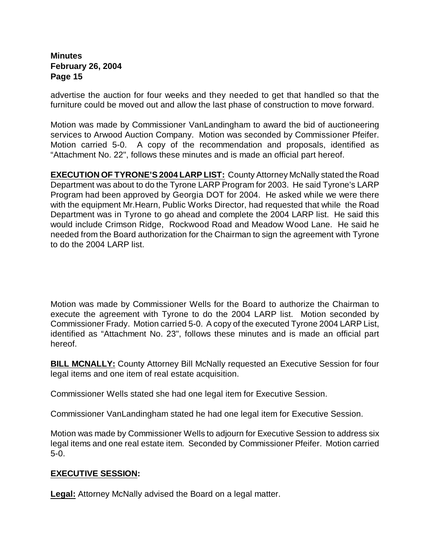advertise the auction for four weeks and they needed to get that handled so that the furniture could be moved out and allow the last phase of construction to move forward.

Motion was made by Commissioner VanLandingham to award the bid of auctioneering services to Arwood Auction Company. Motion was seconded by Commissioner Pfeifer. Motion carried 5-0. A copy of the recommendation and proposals, identified as "Attachment No. 22", follows these minutes and is made an official part hereof.

**EXECUTION OF TYRONE'S 2004 LARP LIST:** County Attorney McNally stated the Road Department was about to do the Tyrone LARP Program for 2003. He said Tyrone's LARP Program had been approved by Georgia DOT for 2004. He asked while we were there with the equipment Mr.Hearn, Public Works Director, had requested that while the Road Department was in Tyrone to go ahead and complete the 2004 LARP list. He said this would include Crimson Ridge, Rockwood Road and Meadow Wood Lane. He said he needed from the Board authorization for the Chairman to sign the agreement with Tyrone to do the 2004 LARP list.

Motion was made by Commissioner Wells for the Board to authorize the Chairman to execute the agreement with Tyrone to do the 2004 LARP list. Motion seconded by Commissioner Frady. Motion carried 5-0. A copy of the executed Tyrone 2004 LARP List, identified as "Attachment No. 23", follows these minutes and is made an official part hereof.

**BILL MCNALLY:** County Attorney Bill McNally requested an Executive Session for four legal items and one item of real estate acquisition.

Commissioner Wells stated she had one legal item for Executive Session.

Commissioner VanLandingham stated he had one legal item for Executive Session.

Motion was made by Commissioner Wells to adjourn for Executive Session to address six legal items and one real estate item. Seconded by Commissioner Pfeifer. Motion carried 5-0.

## **EXECUTIVE SESSION:**

**Legal:** Attorney McNally advised the Board on a legal matter.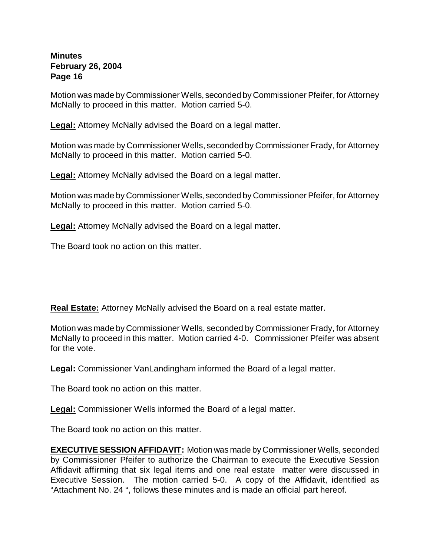Motion was made by Commissioner Wells, seconded by Commissioner Pfeifer, for Attorney McNally to proceed in this matter. Motion carried 5-0.

**Legal:** Attorney McNally advised the Board on a legal matter.

Motion was made by Commissioner Wells, seconded by Commissioner Frady, for Attorney McNally to proceed in this matter. Motion carried 5-0.

**Legal:** Attorney McNally advised the Board on a legal matter.

Motion was made by Commissioner Wells, seconded by Commissioner Pfeifer, for Attorney McNally to proceed in this matter. Motion carried 5-0.

**Legal:** Attorney McNally advised the Board on a legal matter.

The Board took no action on this matter.

**Real Estate:** Attorney McNally advised the Board on a real estate matter.

Motion was made by Commissioner Wells, seconded by Commissioner Frady, for Attorney McNally to proceed in this matter. Motion carried 4-0. Commissioner Pfeifer was absent for the vote.

**Legal:** Commissioner VanLandingham informed the Board of a legal matter.

The Board took no action on this matter.

**Legal:** Commissioner Wells informed the Board of a legal matter.

The Board took no action on this matter.

**EXECUTIVE SESSION AFFIDAVIT:** Motion was made by Commissioner Wells, seconded by Commissioner Pfeifer to authorize the Chairman to execute the Executive Session Affidavit affirming that six legal items and one real estate matter were discussed in Executive Session. The motion carried 5-0. A copy of the Affidavit, identified as "Attachment No. 24 ", follows these minutes and is made an official part hereof.